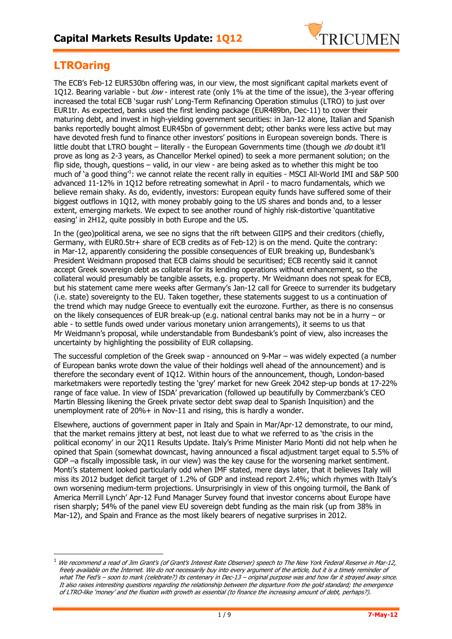

## **LTROaring**

 $\overline{a}$ 

The ECB's Feb-12 EUR530bn offering was, in our view, the most significant capital markets event of 1Q12. Bearing variable - but  $\ell \omega \nu$  - interest rate (only 1% at the time of the issue), the 3-year offering increased the total ECB 'sugar rush' Long-Term Refinancing Operation stimulus (LTRO) to just over EUR1tr. As expected, banks used the first lending package (EUR489bn, Dec-11) to cover their maturing debt, and invest in high-yielding government securities: in Jan-12 alone, Italian and Spanish banks reportedly bought almost EUR45bn of government debt; other banks were less active but may have devoted fresh fund to finance other investors' positions in European sovereign bonds. There is little doubt that LTRO bought – literally - the European Governments time (though we  $d\sigma$  doubt it'll prove as long as 2-3 years, as Chancellor Merkel opined) to seek a more permanent solution; on the flip side, though, questions – valid, in our view - are being asked as to whether this might be too much of 'a good thing<sup>1</sup>: we cannot relate the recent rally in equities - MSCI All-World IMI and S&P 500 advanced 11-12% in 1Q12 before retreating somewhat in April - to macro fundamentals, which we believe remain shaky. As do, evidently, investors: European equity funds have suffered some of their biggest outflows in 1Q12, with money probably going to the US shares and bonds and, to a lesser extent, emerging markets. We expect to see another round of highly risk-distortive 'quantitative easing' in 2H12, quite possibly in both Europe and the US.

In the (geo)political arena, we see no signs that the rift between GIIPS and their creditors (chiefly, Germany, with EUR0.5tr+ share of ECB credits as of Feb-12) is on the mend. Quite the contrary: in Mar-12, apparently considering the possible consequences of EUR breaking up, Bundesbank's President Weidmann proposed that ECB claims should be securitised; ECB recently said it cannot accept Greek sovereign debt as collateral for its lending operations without enhancement, so the collateral would presumably be tangible assets, e.g. property. Mr Weidmann does not speak for ECB, but his statement came mere weeks after Germany's Jan-12 call for Greece to surrender its budgetary (i.e. state) sovereignty to the EU. Taken together, these statements suggest to us a continuation of the trend which may nudge Greece to eventually exit the eurozone. Further, as there is no consensus on the likely consequences of EUR break-up (e.g. national central banks may not be in a hurry – or able - to settle funds owed under various monetary union arrangements), it seems to us that Mr Weidmann's proposal, while understandable from Bundesbank's point of view, also increases the uncertainty by highlighting the possibility of EUR collapsing.

The successful completion of the Greek swap - announced on 9-Mar – was widely expected (a number of European banks wrote down the value of their holdings well ahead of the announcement) and is therefore the secondary event of 1Q12. Within hours of the announcement, though, London-based marketmakers were reportedly testing the 'grey' market for new Greek 2042 step-up bonds at 17-22% range of face value. In view of ISDA' prevarication (followed up beautifully by Commerzbank's CEO Martin Blessing likening the Greek private sector debt swap deal to Spanish Inquisition) and the unemployment rate of 20%+ in Nov-11 and rising, this is hardly a wonder.

Elsewhere, auctions of government paper in Italy and Spain in Mar/Apr-12 demonstrate, to our mind, that the market remains jittery at best, not least due to what we referred to as 'the crisis in the political economy' in our 2Q11 Results Update. Italy's Prime Minister Mario Monti did not help when he opined that Spain (somewhat downcast, having announced a fiscal adjustment target equal to 5.5% of GDP –a fiscally impossible task, in our view) was the key cause for the worsening market sentiment. Monti's statement looked particularly odd when IMF stated, mere days later, that it believes Italy will miss its 2012 budget deficit target of 1.2% of GDP and instead report 2.4%; which rhymes with Italy's own worsening medium-term projections. Unsurprisingly in view of this ongoing turmoil, the Bank of America Merrill Lynch' Apr-12 Fund Manager Survey found that investor concerns about Europe have risen sharply; 54% of the panel view EU sovereign debt funding as the main risk (up from 38% in Mar-12), and Spain and France as the most likely bearers of negative surprises in 2012.

We recommend a read of Jim Grant's (of Grant's Interest Rate Observer) speech to The New York Federal Reserve in Mar-12, freely available on the Internet. We do not necessarily buy into every argument of the article, but it is a timely reminder of what The Fed's – soon to mark (celebrate?) its centenary in Dec-13 – original purpose was and how far it strayed away since. It also raises interesting questions regarding the relationship between the departure from the gold standard; the emergence of LTRO-like 'money' and the fixation with growth as essential (to finance the increasing amount of debt, perhaps?).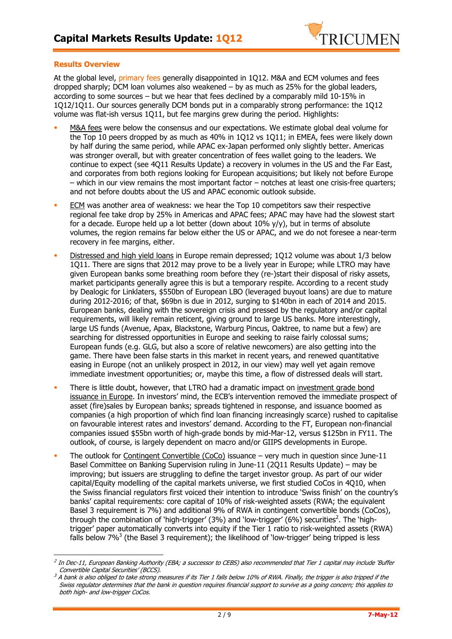

### **Results Overview**

 $\overline{a}$ 

At the global level, primary fees generally disappointed in 1Q12. M&A and ECM volumes and fees dropped sharply; DCM loan volumes also weakened  $-$  by as much as 25% for the global leaders, according to some sources – but we hear that fees declined by a comparably mild 10-15% in 1Q12/1Q11. Our sources generally DCM bonds put in a comparably strong performance: the 1Q12 volume was flat-ish versus 1Q11, but fee margins grew during the period. Highlights:

- M&A fees were below the consensus and our expectations. We estimate global deal volume for the Top 10 peers dropped by as much as 40% in 1Q12 vs 1Q11; in EMEA, fees were likely down by half during the same period, while APAC ex-Japan performed only slightly better. Americas was stronger overall, but with greater concentration of fees wallet going to the leaders. We continue to expect (see 4Q11 Results Update) a recovery in volumes in the US and the Far East, and corporates from both regions looking for European acquisitions; but likely not before Europe – which in our view remains the most important factor – notches at least one crisis-free quarters; and not before doubts about the US and APAC economic outlook subside.
- ECM was another area of weakness: we hear the Top 10 competitors saw their respective regional fee take drop by 25% in Americas and APAC fees; APAC may have had the slowest start for a decade. Europe held up a lot better (down about  $10\%$  y/y), but in terms of absolute volumes, the region remains far below either the US or APAC, and we do not foresee a near-term recovery in fee margins, either.
- Distressed and high yield loans in Europe remain depressed; 1Q12 volume was about 1/3 below 1Q11. There are signs that 2012 may prove to be a lively year in Europe; while LTRO may have given European banks some breathing room before they (re-)start their disposal of risky assets, market participants generally agree this is but a temporary respite. According to a recent study by Dealogic for Linklaters, \$550bn of European LBO (leveraged buyout loans) are due to mature during 2012-2016; of that, \$69bn is due in 2012, surging to \$140bn in each of 2014 and 2015. European banks, dealing with the sovereign crisis and pressed by the regulatory and/or capital requirements, will likely remain reticent, giving ground to large US banks. More interestingly, large US funds (Avenue, Apax, Blackstone, Warburg Pincus, Oaktree, to name but a few) are searching for distressed opportunities in Europe and seeking to raise fairly colossal sums; European funds (e.g. GLG, but also a score of relative newcomers) are also getting into the game. There have been false starts in this market in recent years, and renewed quantitative easing in Europe (not an unlikely prospect in 2012, in our view) may well yet again remove immediate investment opportunities; or, maybe this time, a flow of distressed deals will start.
- There is little doubt, however, that LTRO had a dramatic impact on investment grade bond issuance in Europe. In investors' mind, the ECB's intervention removed the immediate prospect of asset (fire)sales by European banks; spreads tightened in response, and issuance boomed as companies (a high proportion of which find loan financing increasingly scarce) rushed to capitalise on favourable interest rates and investors' demand. According to the FT, European non-financial companies issued \$55bn worth of high-grade bonds by mid-Mar-12, versus \$125bn in FY11. The outlook, of course, is largely dependent on macro and/or GIIPS developments in Europe.
- The outlook for Contingent Convertible (CoCo) issuance very much in question since June-11 Basel Committee on Banking Supervision ruling in June-11 (2Q11 Results Update) – may be improving; but issuers are struggling to define the target investor group. As part of our wider capital/Equity modelling of the capital markets universe, we first studied CoCos in 4Q10, when the Swiss financial regulators first voiced their intention to introduce 'Swiss finish' on the country's banks' capital requirements: core capital of 10% of risk-weighted assets (RWA; the equivalent Basel 3 requirement is 7%) and additional 9% of RWA in contingent convertible bonds (CoCos), through the combination of `high-trigger' (3%) and `low-trigger' (6%) securities<sup>2</sup>. The `hightrigger' paper automatically converts into equity if the Tier 1 ratio to risk-weighted assets (RWA) falls below 7%<sup>3</sup> (the Basel 3 requirement); the likelihood of 'low-trigger' being tripped is less

<sup>&</sup>lt;sup>2</sup> In Dec-11, European Banking Authority (EBA; a successor to CEBS) also recommended that Tier 1 capital may include 'Buffer Convertible Capital Securities' (BCCS).

 $^3$  A bank is also obliged to take strong measures if its Tier 1 falls below 10% of RWA. Finally, the trigger is also tripped if the Swiss regulator determines that the bank in question requires financial support to survive as a going concern; this applies to both high- and low-trigger CoCos.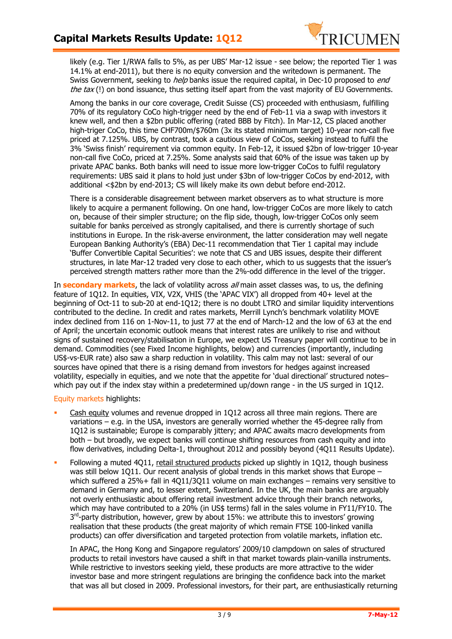

likely (e.g. Tier 1/RWA falls to 5%, as per UBS' Mar-12 issue - see below; the reported Tier 1 was 14.1% at end-2011), but there is no equity conversion and the writedown is permanent. The Swiss Government, seeking to help banks issue the required capital, in Dec-10 proposed to end the tax  $(!)$  on bond issuance, thus setting itself apart from the vast majority of EU Governments.

Among the banks in our core coverage, Credit Suisse (CS) proceeded with enthusiasm, fulfilling 70% of its regulatory CoCo high-trigger need by the end of Feb-11 via a swap with investors it knew well, and then a \$2bn public offering (rated BBB by Fitch). In Mar-12, CS placed another high-triger CoCo, this time CHF700m/\$760m (3x its stated minimum target) 10-year non-call five priced at 7.125%. UBS, by contrast, took a cautious view of CoCos, seeking instead to fulfil the 3% 'Swiss finish' requirement via common equity. In Feb-12, it issued \$2bn of low-trigger 10-year non-call five CoCo, priced at 7.25%. Some analysts said that 60% of the issue was taken up by private APAC banks. Both banks will need to issue more low-trigger CoCos to fulfil regulatory requirements: UBS said it plans to hold just under \$3bn of low-trigger CoCos by end-2012, with additional <\$2bn by end-2013; CS will likely make its own debut before end-2012.

There is a considerable disagreement between market observers as to what structure is more likely to acquire a permanent following. On one hand, low-trigger CoCos are more likely to catch on, because of their simpler structure; on the flip side, though, low-trigger CoCos only seem suitable for banks perceived as strongly capitalised, and there is currently shortage of such institutions in Europe. In the risk-averse environment, the latter consideration may well negate European Banking Authority's (EBA) Dec-11 recommendation that Tier 1 capital may include 'Buffer Convertible Capital Securities': we note that CS and UBS issues, despite their different structures, in late Mar-12 traded very close to each other, which to us suggests that the issuer's perceived strength matters rather more than the 2%-odd difference in the level of the trigger.

In **secondary markets**, the lack of volatility across all main asset classes was, to us, the defining feature of 1Q12. In equities, VIX, V2X, VHIS (the 'APAC VIX') all dropped from 40+ level at the beginning of Oct-11 to sub-20 at end-1Q12; there is no doubt LTRO and similar liquidity interventions contributed to the decline. In credit and rates markets, Merrill Lynch's benchmark volatility MOVE index declined from 116 on 1-Nov-11, to just 77 at the end of March-12 and the low of 63 at the end of April; the uncertain economic outlook means that interest rates are unlikely to rise and without signs of sustained recovery/stabilisation in Europe, we expect US Treasury paper will continue to be in demand. Commodities (see Fixed Income highlights, below) and currencies (importantly, including US\$-vs-EUR rate) also saw a sharp reduction in volatility. This calm may not last: several of our sources have opined that there is a rising demand from investors for hedges against increased volatility, especially in equities, and we note that the appetite for 'dual directional' structured notes– which pay out if the index stay within a predetermined up/down range - in the US surged in 1012.

Equity markets highlights:

- Cash equity volumes and revenue dropped in 1Q12 across all three main regions. There are variations – e.g. in the USA, investors are generally worried whether the 45-degree rally from 1Q12 is sustainable; Europe is comparably jittery; and APAC awaits macro developments from both – but broadly, we expect banks will continue shifting resources from cash equity and into flow derivatives, including Delta-1, throughout 2012 and possibly beyond (4Q11 Results Update).
- Following a muted 4Q11, retail structured products picked up slightly in 1Q12, though business was still below 1Q11. Our recent analysis of global trends in this market shows that Europe – which suffered a 25%+ fall in 4Q11/3Q11 volume on main exchanges – remains very sensitive to demand in Germany and, to lesser extent, Switzerland. In the UK, the main banks are arguably not overly enthusiastic about offering retail investment advice through their branch networks, which may have contributed to a 20% (in US\$ terms) fall in the sales volume in FY11/FY10. The 3<sup>rd</sup>-party distribution, however, grew by about 15%: we attribute this to investors' growing realisation that these products (the great majority of which remain FTSE 100-linked vanilla products) can offer diversification and targeted protection from volatile markets, inflation etc.

In APAC, the Hong Kong and Singapore regulators' 2009/10 clampdown on sales of structured products to retail investors have caused a shift in that market towards plain-vanilla instruments. While restrictive to investors seeking yield, these products are more attractive to the wider investor base and more stringent regulations are bringing the confidence back into the market that was all but closed in 2009. Professional investors, for their part, are enthusiastically returning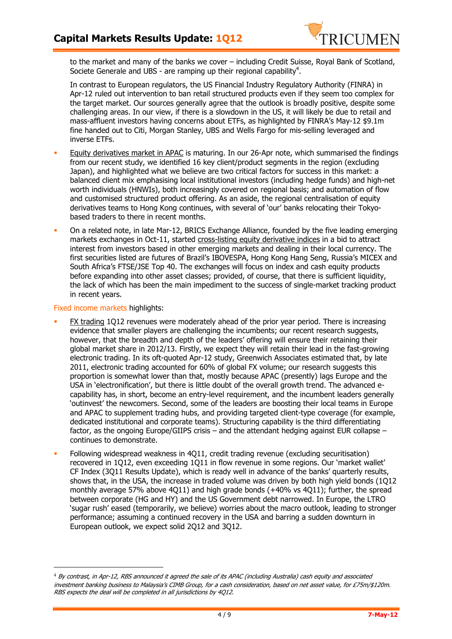

to the market and many of the banks we cover – including Credit Suisse, Royal Bank of Scotland, Societe Generale and UBS - are ramping up their regional capability<sup>4</sup>.

In contrast to European regulators, the US Financial Industry Regulatory Authority (FINRA) in Apr-12 ruled out intervention to ban retail structured products even if they seem too complex for the target market. Our sources generally agree that the outlook is broadly positive, despite some challenging areas. In our view, if there is a slowdown in the US, it will likely be due to retail and mass-affluent investors having concerns about ETFs, as highlighted by FINRA's May-12 \$9.1m fine handed out to Citi, Morgan Stanley, UBS and Wells Fargo for mis-selling leveraged and inverse ETFs.

- Equity derivatives market in APAC is maturing. In our 26-Apr note, which summarised the findings from our recent study, we identified 16 key client/product segments in the region (excluding Japan), and highlighted what we believe are two critical factors for success in this market: a balanced client mix emphasising local institutional investors (including hedge funds) and high-net worth individuals (HNWIs), both increasingly covered on regional basis; and automation of flow and customised structured product offering. As an aside, the regional centralisation of equity derivatives teams to Hong Kong continues, with several of 'our' banks relocating their Tokyobased traders to there in recent months.
- On a related note, in late Mar-12, BRICS Exchange Alliance, founded by the five leading emerging markets exchanges in Oct-11, started cross-listing equity derivative indices in a bid to attract interest from investors based in other emerging markets and dealing in their local currency. The first securities listed are futures of Brazil's IBOVESPA, Hong Kong Hang Seng, Russia's MICEX and South Africa's FTSE/JSE Top 40. The exchanges will focus on index and cash equity products before expanding into other asset classes; provided, of course, that there is sufficient liquidity, the lack of which has been the main impediment to the success of single-market tracking product in recent years.

#### Fixed income markets highlights:

֦

- FX trading 1Q12 revenues were moderately ahead of the prior year period. There is increasing evidence that smaller players are challenging the incumbents; our recent research suggests, however, that the breadth and depth of the leaders' offering will ensure their retaining their global market share in 2012/13. Firstly, we expect they will retain their lead in the fast-growing electronic trading. In its oft-quoted Apr-12 study, Greenwich Associates estimated that, by late 2011, electronic trading accounted for 60% of global FX volume; our research suggests this proportion is somewhat lower than that, mostly because APAC (presently) lags Europe and the USA in 'electronification', but there is little doubt of the overall growth trend. The advanced ecapability has, in short, become an entry-level requirement, and the incumbent leaders generally 'outinvest' the newcomers. Second, some of the leaders are boosting their local teams in Europe and APAC to supplement trading hubs, and providing targeted client-type coverage (for example, dedicated institutional and corporate teams). Structuring capability is the third differentiating factor, as the ongoing Europe/GIIPS crisis – and the attendant hedging against EUR collapse – continues to demonstrate.
- Following widespread weakness in 4Q11, credit trading revenue (excluding securitisation) recovered in 1Q12, even exceeding 1Q11 in flow revenue in some regions. Our 'market wallet' CF Index (3Q11 Results Update), which is ready well in advance of the banks' quarterly results, shows that, in the USA, the increase in traded volume was driven by both high yield bonds (1Q12 monthly average 57% above 4Q11) and high grade bonds (+40% vs 4Q11); further, the spread between corporate (HG and HY) and the US Government debt narrowed. In Europe, the LTRO 'sugar rush' eased (temporarily, we believe) worries about the macro outlook, leading to stronger performance; assuming a continued recovery in the USA and barring a sudden downturn in European outlook, we expect solid 2Q12 and 3Q12.

 $4$  By contrast, in Apr-12, RBS announced it agreed the sale of its APAC (including Australia) cash equity and associated investment banking business to Malaysia's CIMB Group, for a cash consideration, based on net asset value, for £75m/\$120m. RBS expects the deal will be completed in all jurisdictions by 4Q12.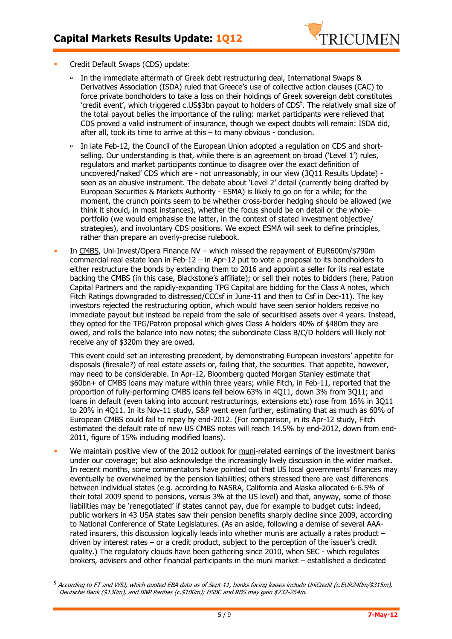

Credit Default Swaps (CDS) update:

 $\overline{a}$ 

- - In the immediate aftermath of Greek debt restructuring deal, International Swaps & Derivatives Association (ISDA) ruled that Greece's use of collective action clauses (CAC) to force private bondholders to take a loss on their holdings of Greek sovereign debt constitutes 'credit event', which triggered c.US\$3bn payout to holders of CDS $^5$ . The relatively small size of the total payout belies the importance of the ruling: market participants were relieved that CDS proved a valid instrument of insurance, though we expect doubts will remain: ISDA did, after all, took its time to arrive at this – to many obvious - conclusion.
- $\Box$  In late Feb-12, the Council of the European Union adopted a regulation on CDS and shortselling. Our understanding is that, while there is an agreement on broad ('Level 1') rules, regulators and market participants continue to disagree over the exact definition of uncovered/'naked' CDS which are - not unreasonably, in our view (3Q11 Results Update) seen as an abusive instrument. The debate about 'Level 2' detail (currently being drafted by European Securities & Markets Authority - ESMA) is likely to go on for a while; for the moment, the crunch points seem to be whether cross-border hedging should be allowed (we think it should, in most instances), whether the focus should be on detail or the wholeportfolio (we would emphasise the latter, in the context of stated investment objective/ strategies), and involuntary CDS positions. We expect ESMA will seek to define principles, rather than prepare an overly-precise rulebook.
- In CMBS, Uni-Invest/Opera Finance NV which missed the repayment of EUR600m/\$790m commercial real estate loan in Feb-12 – in Apr-12 put to vote a proposal to its bondholders to either restructure the bonds by extending them to 2016 and appoint a seller for its real estate backing the CMBS (in this case, Blackstone's affiliate); or sell their notes to bidders (here, Patron Capital Partners and the rapidly-expanding TPG Capital are bidding for the Class A notes, which Fitch Ratings downgraded to distressed/CCCsf in June-11 and then to Csf in Dec-11). The key investors rejected the restructuring option, which would have seen senior holders receive no immediate payout but instead be repaid from the sale of securitised assets over 4 years. Instead, they opted for the TPG/Patron proposal which gives Class A holders 40% of \$480m they are owed, and rolls the balance into new notes; the subordinate Class B/C/D holders will likely not receive any of \$320m they are owed.

This event could set an interesting precedent, by demonstrating European investors' appetite for disposals (firesale?) of real estate assets or, failing that, the securities. That appetite, however, may need to be considerable. In Apr-12, Bloomberg quoted Morgan Stanley estimate that \$60bn+ of CMBS loans may mature within three years; while Fitch, in Feb-11, reported that the proportion of fully-performing CMBS loans fell below 63% in 4Q11, down 3% from 3Q11; and loans in default (even taking into account restructurings, extensions etc) rose from 16% in 3Q11 to 20% in 4Q11. In its Nov-11 study, S&P went even further, estimating that as much as 60% of European CMBS could fail to repay by end-2012. (For comparison, in its Apr-12 study, Fitch estimated the default rate of new US CMBS notes will reach 14.5% by end-2012, down from end-2011, figure of 15% including modified loans).

 We maintain positive view of the 2012 outlook for muni-related earnings of the investment banks under our coverage; but also acknowledge the increasingly lively discussion in the wider market. In recent months, some commentators have pointed out that US local governments' finances may eventually be overwhelmed by the pension liabilities; others stressed there are vast differences between individual states (e.g. according to NASRA, California and Alaska allocated 6-6.5% of their total 2009 spend to pensions, versus 3% at the US level) and that, anyway, some of those liabilities may be 'renegotiated' if states cannot pay, due for example to budget cuts: indeed, public workers in 43 USA states saw their pension benefits sharply decline since 2009, according to National Conference of State Legislatures. (As an aside, following a demise of several AAArated insurers, this discussion logically leads into whether munis are actually a rates product – driven by interest rates – or a credit product, subject to the perception of the issuer's credit quality.) The regulatory clouds have been gathering since 2010, when SEC - which regulates brokers, advisers and other financial participants in the muni market – established a dedicated

<sup>&</sup>lt;sup>5</sup> According to FT and WSJ, which quoted EBA data as of Sept-11, banks facing losses include UniCredit (c.EUR240m/\$315m), Deutsche Bank (\$130m), and BNP Paribas (c.\$100m); HSBC and RBS may gain \$232-254m.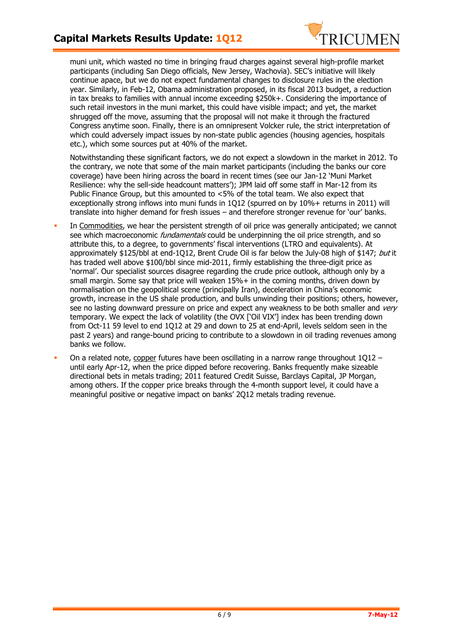

muni unit, which wasted no time in bringing fraud charges against several high-profile market participants (including San Diego officials, New Jersey, Wachovia). SEC's initiative will likely continue apace, but we do not expect fundamental changes to disclosure rules in the election year. Similarly, in Feb-12, Obama administration proposed, in its fiscal 2013 budget, a reduction in tax breaks to families with annual income exceeding \$250k+. Considering the importance of such retail investors in the muni market, this could have visible impact; and yet, the market shrugged off the move, assuming that the proposal will not make it through the fractured Congress anytime soon. Finally, there is an omnipresent Volcker rule, the strict interpretation of which could adversely impact issues by non-state public agencies (housing agencies, hospitals etc.), which some sources put at 40% of the market.

Notwithstanding these significant factors, we do not expect a slowdown in the market in 2012. To the contrary, we note that some of the main market participants (including the banks our core coverage) have been hiring across the board in recent times (see our Jan-12 'Muni Market Resilience: why the sell-side headcount matters'); JPM laid off some staff in Mar-12 from its Public Finance Group, but this amounted to <5% of the total team. We also expect that exceptionally strong inflows into muni funds in 1Q12 (spurred on by 10%+ returns in 2011) will translate into higher demand for fresh issues – and therefore stronger revenue for 'our' banks.

- In Commodities, we hear the persistent strength of oil price was generally anticipated; we cannot see which macroeconomic *fundamentals* could be underpinning the oil price strength, and so attribute this, to a degree, to governments' fiscal interventions (LTRO and equivalents). At approximately \$125/bbl at end-1012, Brent Crude Oil is far below the July-08 high of \$147; but it has traded well above \$100/bbl since mid-2011, firmly establishing the three-digit price as 'normal'. Our specialist sources disagree regarding the crude price outlook, although only by a small margin. Some say that price will weaken  $15\%$ + in the coming months, driven down by normalisation on the geopolitical scene (principally Iran), deceleration in China's economic growth, increase in the US shale production, and bulls unwinding their positions; others, however, see no lasting downward pressure on price and expect any weakness to be both smaller and very temporary. We expect the lack of volatility (the OVX ['Oil VIX'] index has been trending down from Oct-11 59 level to end 1Q12 at 29 and down to 25 at end-April, levels seldom seen in the past 2 years) and range-bound pricing to contribute to a slowdown in oil trading revenues among banks we follow.
- On a related note, copper futures have been oscillating in a narrow range throughout 1Q12 until early Apr-12, when the price dipped before recovering. Banks frequently make sizeable directional bets in metals trading; 2011 featured Credit Suisse, Barclays Capital, JP Morgan, among others. If the copper price breaks through the 4-month support level, it could have a meaningful positive or negative impact on banks' 2Q12 metals trading revenue.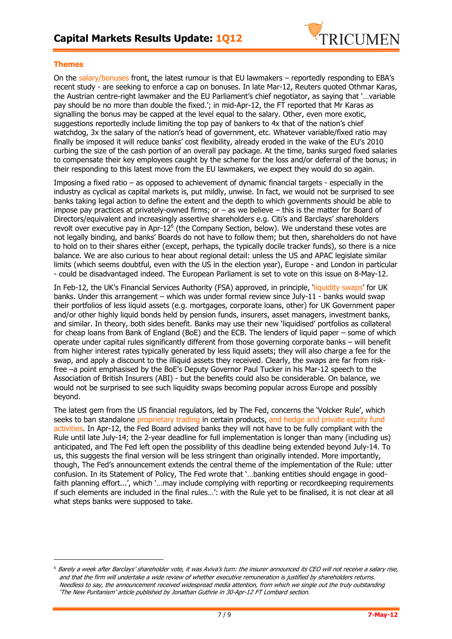

### **Themes**

֦

On the salary/bonuses front, the latest rumour is that EU lawmakers – reportedly responding to EBA's recent study - are seeking to enforce a cap on bonuses. In late Mar-12, Reuters quoted Othmar Karas, the Austrian centre-right lawmaker and the EU Parliament's chief negotiator, as saying that '…variable pay should be no more than double the fixed.'; in mid-Apr-12, the FT reported that Mr Karas as signalling the bonus may be capped at the level equal to the salary. Other, even more exotic, suggestions reportedly include limiting the top pay of bankers to 4x that of the nation's chief watchdog, 3x the salary of the nation's head of government, etc. Whatever variable/fixed ratio may finally be imposed it will reduce banks' cost flexibility, already eroded in the wake of the EU's 2010 curbing the size of the cash portion of an overall pay package. At the time, banks surged fixed salaries to compensate their key employees caught by the scheme for the loss and/or deferral of the bonus; in their responding to this latest move from the EU lawmakers, we expect they would do so again.

Imposing a fixed ratio – as opposed to achievement of dynamic financial targets - especially in the industry as cyclical as capital markets is, put mildly, unwise. In fact, we would not be surprised to see banks taking legal action to define the extent and the depth to which governments should be able to impose pay practices at privately-owned firms; or  $-$  as we believe  $-$  this is the matter for Board of Directors/equivalent and increasingly assertive shareholders e.g. Citi's and Barclays' shareholders revolt over executive pay in Apr-12 $^6$  (the Company Section, below). We understand these votes are not legally binding, and banks' Boards do not have to follow them; but then, shareholders do not have to hold on to their shares either (except, perhaps, the typically docile tracker funds), so there is a nice balance. We are also curious to hear about regional detail: unless the US and APAC legislate similar limits (which seems doubtful, even with the US in the election year), Europe - and London in particular - could be disadvantaged indeed. The European Parliament is set to vote on this issue on 8-May-12.

In Feb-12, the UK's Financial Services Authority (FSA) approved, in principle, 'liquidity swaps' for UK banks. Under this arrangement – which was under formal review since July-11 - banks would swap their portfolios of less liquid assets (e.g. mortgages, corporate loans, other) for UK Government paper and/or other highly liquid bonds held by pension funds, insurers, asset managers, investment banks, and similar. In theory, both sides benefit. Banks may use their new 'liquidised' portfolios as collateral for cheap loans from Bank of England (BoE) and the ECB. The lenders of liquid paper – some of which operate under capital rules significantly different from those governing corporate banks – will benefit from higher interest rates typically generated by less liquid assets; they will also charge a fee for the swap, and apply a discount to the illiquid assets they received. Clearly, the swaps are far from riskfree –a point emphasised by the BoE's Deputy Governor Paul Tucker in his Mar-12 speech to the Association of British Insurers (ABI) - but the benefits could also be considerable. On balance, we would not be surprised to see such liquidity swaps becoming popular across Europe and possibly beyond.

The latest gem from the US financial regulators, led by The Fed, concerns the 'Volcker Rule', which seeks to ban standalone proprietary trading in certain products, and hedge and private equity fund activities. In Apr-12, the Fed Board advised banks they will not have to be fully compliant with the Rule until late July-14; the 2-year deadline for full implementation is longer than many (including us) anticipated, and The Fed left open the possibility of this deadline being extended beyond July-14. To us, this suggests the final version will be less stringent than originally intended. More importantly, though, The Fed's announcement extends the central theme of the implementation of the Rule: utter confusion. In its Statement of Policy, The Fed wrote that '…banking entities should engage in goodfaith planning effort...', which '...may include complying with reporting or recordkeeping requirements if such elements are included in the final rules…': with the Rule yet to be finalised, it is not clear at all what steps banks were supposed to take.

<sup>6</sup> Barely a week after Barclays' shareholder vote, it was Aviva's turn: the insurer announced its CEO will not receive a salary rise, and that the firm will undertake a wide review of whether executive remuneration is justified by shareholders returns. Needless to say, the announcement received widespread media attention, from which we single out the truly outstanding 'The New Puritanism' article published by Jonathan Guthrie in 30-Apr-12 FT Lombard section.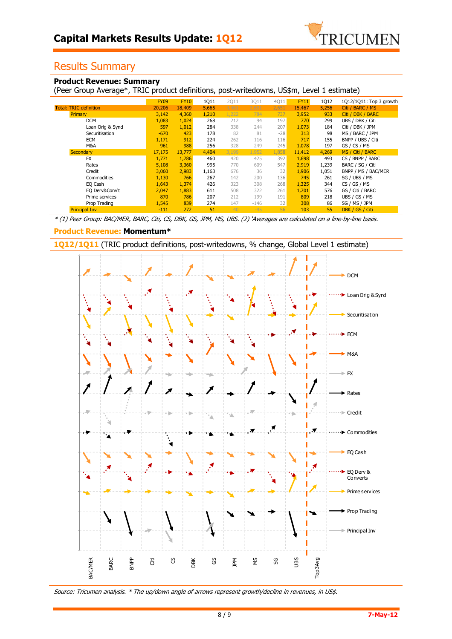

### Results Summary

### **Product Revenue: Summary**

(Peer Group Average\*, TRIC product definitions, post-writedowns, US\$m, Level 1 estimate)

|                               | <b>FY09</b> | <b>FY10</b> | 1Q11  | <b>2Q11</b> | 3Q11   | 4Q11  | <b>FY11</b> | 1Q12  | 1Q12/1Q11: Top 3 growth |
|-------------------------------|-------------|-------------|-------|-------------|--------|-------|-------------|-------|-------------------------|
| <b>Total: TRIC definition</b> | 20,206      | 18,409      | 5,665 | 4,461       | 2.691  | 2,651 | 15,467      | 5,256 | Citi / BARC / MS        |
| Primary                       | 3,142       | 4,360       | 1,210 | 1,222       | 784    | 737   | 3,952       | 933   | Citi / DBK / BARC       |
| <b>DCM</b>                    | 1,083       | 1,024       | 268   | 212         | 94     | 197   | 770         | 299   | UBS / DBK / Citi        |
| Loan Orig & Synd              | 597         | 1,012       | 284   | 338         | 244    | 207   | 1,073       | 184   | Citi / DBK / JPM        |
| Securitisation                | $-670$      | 423         | 178   | 82          | 81     | $-28$ | 313         | 98    | MS / BARC / JPM         |
| <b>ECM</b>                    | 1,171       | 912         | 224   | 262         | 116    | 116   | 717         | 155   | BNPP / UBS / Citi       |
| M&A                           | 961         | 988         | 256   | 328         | 249    | 245   | 1,078       | 197   | GS / CS / MS            |
| Secondary                     | 17,175      | 13,777      | 4,404 | 3,199       | 1,952  | 1,858 | 11,412      | 4,269 | MS / Citi / BARC        |
| <b>FX</b>                     | 1,771       | 1,786       | 460   | 420         | 425    | 392   | 1,698       | 493   | CS / BNPP / BARC        |
| Rates                         | 5,108       | 3,360       | 995   | 770         | 609    | 547   | 2,919       | 1,239 | BARC / SG / Citi        |
| Credit                        | 3,060       | 2,983       | 1,163 | 676         | 36     | 32    | 1,906       | 1,051 | BNPP / MS / BAC/MER     |
| Commodities                   | 1,130       | 766         | 267   | 142         | 200    | 136   | 745         | 261   | SG / UBS / MS           |
| EQ Cash                       | 1,643       | 1,374       | 426   | 323         | 308    | 268   | 1,325       | 344   | CS / GS / MS            |
| EQ Derv&Conv't                | 2.047       | 1,883       | 611   | 508         | 322    | 261   | 1,701       | 576   | GS / Citi / BARC        |
| Prime services                | 870         | 786         | 207   | 212         | 199    | 191   | 809         | 218   | UBS / GS / MS           |
| Prop Trading                  | 1,545       | 839         | 274   | 147         | $-146$ | 32    | 308         | 86    | SG / MS / JPM           |
| <b>Principal Inv</b>          | $-111$      | 272         | 51    | 40          | $-45$  | 56    | 103         | 55    | DBK / GS / Citi         |

\* (1) Peer Group: BAC/MER, BARC, Citi, CS, DBK, GS, JPM, MS, UBS. (2) 'Averages are calculated on a line-by-line basis.

### **Product Revenue: Momentum\***

**1Q12/1Q11** (TRIC product definitions, post-writedowns, % change, Global Level 1 estimate)



Source: Tricumen analysis. \* The up/down angle of arrows represent growth/decline in revenues, in US\$.